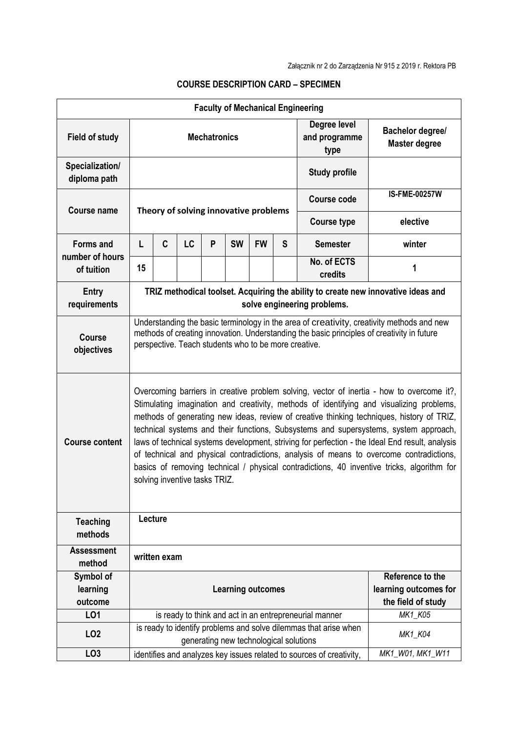| <b>Faculty of Mechanical Engineering</b> |                                                                                                                                                                                                                                                                                                                                                                                                                                                                                                                                                                                                                                                                                                         |                                                                      |           |   |                                       |           |                                       |                                                        |         |
|------------------------------------------|---------------------------------------------------------------------------------------------------------------------------------------------------------------------------------------------------------------------------------------------------------------------------------------------------------------------------------------------------------------------------------------------------------------------------------------------------------------------------------------------------------------------------------------------------------------------------------------------------------------------------------------------------------------------------------------------------------|----------------------------------------------------------------------|-----------|---|---------------------------------------|-----------|---------------------------------------|--------------------------------------------------------|---------|
| <b>Field of study</b>                    | <b>Mechatronics</b>                                                                                                                                                                                                                                                                                                                                                                                                                                                                                                                                                                                                                                                                                     |                                                                      |           |   |                                       |           | Degree level<br>and programme<br>type | <b>Bachelor degree/</b><br><b>Master degree</b>        |         |
| Specialization/<br>diploma path          |                                                                                                                                                                                                                                                                                                                                                                                                                                                                                                                                                                                                                                                                                                         |                                                                      |           |   |                                       |           |                                       | <b>Study profile</b>                                   |         |
| Course name                              |                                                                                                                                                                                                                                                                                                                                                                                                                                                                                                                                                                                                                                                                                                         |                                                                      |           |   | Theory of solving innovative problems |           | Course code                           | <b>IS-FME-00257W</b>                                   |         |
|                                          |                                                                                                                                                                                                                                                                                                                                                                                                                                                                                                                                                                                                                                                                                                         |                                                                      |           |   |                                       |           | <b>Course type</b>                    | elective                                               |         |
| <b>Forms and</b><br>number of hours      | L                                                                                                                                                                                                                                                                                                                                                                                                                                                                                                                                                                                                                                                                                                       | C                                                                    | <b>LC</b> | P | <b>SW</b>                             | <b>FW</b> | S                                     | <b>Semester</b>                                        | winter  |
| of tuition                               | 15                                                                                                                                                                                                                                                                                                                                                                                                                                                                                                                                                                                                                                                                                                      |                                                                      |           |   |                                       |           |                                       | No. of ECTS<br>credits                                 | 1       |
| <b>Entry</b><br>requirements             | TRIZ methodical toolset. Acquiring the ability to create new innovative ideas and<br>solve engineering problems.                                                                                                                                                                                                                                                                                                                                                                                                                                                                                                                                                                                        |                                                                      |           |   |                                       |           |                                       |                                                        |         |
| <b>Course</b><br>objectives              | Understanding the basic terminology in the area of creativity, creativity methods and new<br>methods of creating innovation. Understanding the basic principles of creativity in future<br>perspective. Teach students who to be more creative.                                                                                                                                                                                                                                                                                                                                                                                                                                                         |                                                                      |           |   |                                       |           |                                       |                                                        |         |
| <b>Course content</b>                    | Overcoming barriers in creative problem solving, vector of inertia - how to overcome it?,<br>Stimulating imagination and creativity, methods of identifying and visualizing problems,<br>methods of generating new ideas, review of creative thinking techniques, history of TRIZ,<br>technical systems and their functions, Subsystems and supersystems, system approach,<br>laws of technical systems development, striving for perfection - the Ideal End result, analysis<br>of technical and physical contradictions, analysis of means to overcome contradictions,<br>basics of removing technical / physical contradictions, 40 inventive tricks, algorithm for<br>solving inventive tasks TRIZ. |                                                                      |           |   |                                       |           |                                       |                                                        |         |
| <b>Teaching</b><br>methods               | Lecture                                                                                                                                                                                                                                                                                                                                                                                                                                                                                                                                                                                                                                                                                                 |                                                                      |           |   |                                       |           |                                       |                                                        |         |
| <b>Assessment</b><br>method              | written exam                                                                                                                                                                                                                                                                                                                                                                                                                                                                                                                                                                                                                                                                                            |                                                                      |           |   |                                       |           |                                       |                                                        |         |
| Symbol of<br>learning<br>outcome         | Reference to the<br>learning outcomes for<br><b>Learning outcomes</b><br>the field of study                                                                                                                                                                                                                                                                                                                                                                                                                                                                                                                                                                                                             |                                                                      |           |   |                                       |           |                                       |                                                        |         |
| L01                                      |                                                                                                                                                                                                                                                                                                                                                                                                                                                                                                                                                                                                                                                                                                         |                                                                      |           |   |                                       |           |                                       | is ready to think and act in an entrepreneurial manner | MK1_K05 |
| LO <sub>2</sub>                          | is ready to identify problems and solve dilemmas that arise when<br>MK1_K04<br>generating new technological solutions                                                                                                                                                                                                                                                                                                                                                                                                                                                                                                                                                                                   |                                                                      |           |   |                                       |           |                                       |                                                        |         |
| LO <sub>3</sub>                          |                                                                                                                                                                                                                                                                                                                                                                                                                                                                                                                                                                                                                                                                                                         | identifies and analyzes key issues related to sources of creativity, |           |   |                                       |           | MK1_W01, MK1_W11                      |                                                        |         |

## **COURSE DESCRIPTION CARD – SPECIMEN**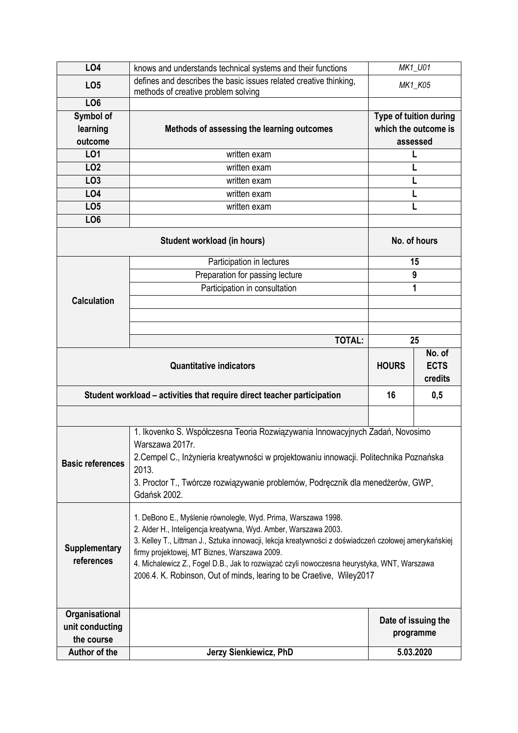| <b>LO4</b>                    | knows and understands technical systems and their functions                                                                                                             | MK1_U01                |        |  |
|-------------------------------|-------------------------------------------------------------------------------------------------------------------------------------------------------------------------|------------------------|--------|--|
| LO <sub>5</sub>               | defines and describes the basic issues related creative thinking,<br>methods of creative problem solving                                                                | MK1_K05                |        |  |
| LO <sub>6</sub>               |                                                                                                                                                                         |                        |        |  |
| <b>Symbol of</b>              |                                                                                                                                                                         | Type of tuition during |        |  |
| learning                      | Methods of assessing the learning outcomes                                                                                                                              | which the outcome is   |        |  |
| outcome                       |                                                                                                                                                                         | assessed               |        |  |
| LO1                           | written exam                                                                                                                                                            | L                      |        |  |
| LO <sub>2</sub>               | written exam                                                                                                                                                            | L                      |        |  |
| LO <sub>3</sub>               | written exam                                                                                                                                                            |                        |        |  |
| LO4                           | written exam                                                                                                                                                            | L                      |        |  |
| LO <sub>5</sub>               | written exam                                                                                                                                                            |                        |        |  |
| LO <sub>6</sub>               |                                                                                                                                                                         |                        |        |  |
|                               | No. of hours                                                                                                                                                            |                        |        |  |
|                               | Participation in lectures                                                                                                                                               | 15                     |        |  |
|                               | Preparation for passing lecture                                                                                                                                         | 9                      |        |  |
|                               | Participation in consultation                                                                                                                                           | 1                      |        |  |
| <b>Calculation</b>            |                                                                                                                                                                         |                        |        |  |
|                               |                                                                                                                                                                         |                        |        |  |
|                               |                                                                                                                                                                         |                        |        |  |
|                               | <b>TOTAL:</b>                                                                                                                                                           | 25                     |        |  |
|                               | <b>Quantitative indicators</b>                                                                                                                                          |                        | No. of |  |
|                               | <b>HOURS</b>                                                                                                                                                            | <b>ECTS</b><br>credits |        |  |
|                               |                                                                                                                                                                         |                        |        |  |
|                               | Student workload – activities that require direct teacher participation                                                                                                 | 16                     | 0,5    |  |
|                               |                                                                                                                                                                         |                        |        |  |
|                               |                                                                                                                                                                         |                        |        |  |
|                               | 1. Ikovenko S. Współczesna Teoria Rozwiązywania Innowacyjnych Zadań, Novosimo                                                                                           |                        |        |  |
|                               | Warszawa 2017r.                                                                                                                                                         |                        |        |  |
|                               | 2. Cempel C., Inżynieria kreatywności w projektowaniu innowacji. Politechnika Poznańska                                                                                 |                        |        |  |
| <b>Basic references</b>       | 2013.                                                                                                                                                                   |                        |        |  |
|                               | 3. Proctor T., Twórcze rozwiązywanie problemów, Podręcznik dla menedżerów, GWP,                                                                                         |                        |        |  |
|                               | Gdańsk 2002.                                                                                                                                                            |                        |        |  |
|                               |                                                                                                                                                                         |                        |        |  |
|                               | 1. DeBono E., Myślenie równoległe, Wyd. Prima, Warszawa 1998.                                                                                                           |                        |        |  |
|                               | 2. Alder H., Inteligencja kreatywna, Wyd. Amber, Warszawa 2003.<br>3. Kelley T., Littman J., Sztuka innowacji, lekcja kreatywności z doświadczeń czołowej amerykańskiej |                        |        |  |
| <b>Supplementary</b>          | firmy projektowej, MT Biznes, Warszawa 2009.                                                                                                                            |                        |        |  |
| references                    | 4. Michalewicz Z., Fogel D.B., Jak to rozwiązać czyli nowoczesna heurystyka, WNT, Warszawa                                                                              |                        |        |  |
|                               | 2006.4. K. Robinson, Out of minds, learing to be Craetive, Wiley2017                                                                                                    |                        |        |  |
|                               |                                                                                                                                                                         |                        |        |  |
|                               |                                                                                                                                                                         |                        |        |  |
| Organisational                |                                                                                                                                                                         | Date of issuing the    |        |  |
| unit conducting<br>the course |                                                                                                                                                                         | programme              |        |  |